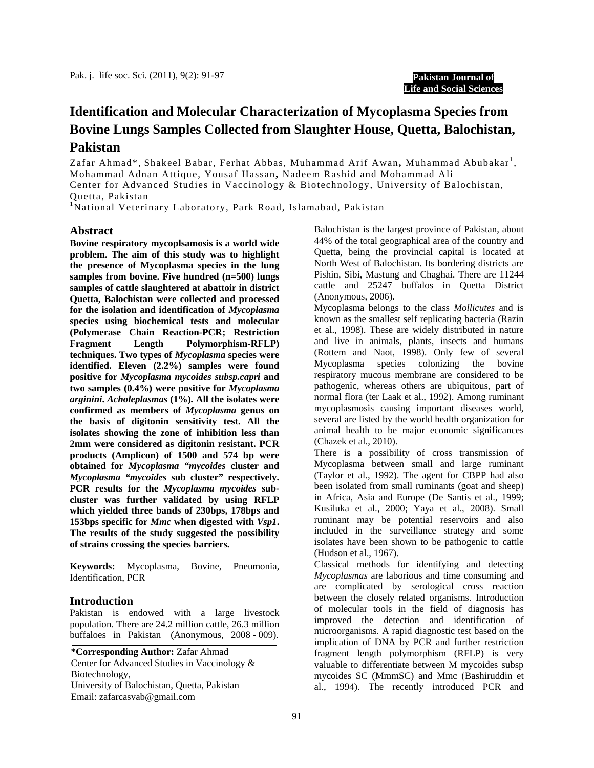# **Identification and Molecular Characterization of Mycoplasma Species from Bovine Lungs Samples Collected from Slaughter House, Quetta, Balochistan, Pakistan**

Zafar Ahmad\*, Shakeel Babar, Ferhat Abbas, Muhammad Arif Awan**,** Muhammad Abubakar<sup>1</sup>, Mohammad Adnan Attique, Yousaf Hassan**,** Nadeem Rashid and Mohammad Ali Center for Advanced Studies in Vaccinology & Biotechnology, University of Balochistan, Quetta, Pakistan

<sup>1</sup>National Veterinary Laboratory, Park Road, Islamabad, Pakistan

# **Abstract**

**Bovine respiratory mycoplsamosis is a world wide problem. The aim of this study was to highlight the presence of Mycoplasma species in the lung samples from bovine. Five hundred (n=500) lungs samples of cattle slaughtered at abattoir in district Quetta, Balochistan were collected and processed for the isolation and identification of** *Mycoplasma* **species using biochemical tests and molecular (Polymerase Chain Reaction-PCR; Restriction Fragment Length Polymorphism-RFLP) techniques. Two types of** *Mycoplasma* **species were identified. Eleven (2.2%) samples were found positive for** *Mycoplasma mycoides subsp.capri* **and two samples (0.4%) were positive for** *Mycoplasma arginini***.** *Acholeplasmas* **(1%)***.* **All the isolates were confirmed as members of** *Mycoplasma* **genus on the basis of digitonin sensitivity test. All the isolates showing the zone of inhibition less than 2mm were considered as digitonin resistant. PCR products (Amplicon) of 1500 and 574 bp were obtained for** *Mycoplasma "mycoides* **cluster and**  *Mycoplasma "mycoides* **sub cluster" respectively. PCR results for the** *Mycoplasma mycoides* **subcluster was further validated by using RFLP which yielded three bands of 230bps, 178bps and 153bps specific for** *Mmc* **when digested with** *Vsp1***. The results of the study suggested the possibility of strains crossing the species barriers.** 

**Keywords:** Mycoplasma, Bovine, Pneumonia, Identification, PCR

# **Introduction**

Pakistan is endowed with a large livestock population. There are 24.2 million cattle, 26.3 million buffaloes in Pakistan (Anonymous, 2008 - 009).

**\*Corresponding Author:** Zafar Ahmad Center for Advanced Studies in Vaccinology & Biotechnology, University of Balochistan, Quetta, Pakistan Email: zafarcasvab@gmail.com

Balochistan is the largest province of Pakistan, about 44% of the total geographical area of the country and Quetta, being the provincial capital is located at North West of Balochistan. Its bordering districts are Pishin, Sibi, Mastung and Chaghai. There are 11244 cattle and 25247 buffalos in Quetta District (Anonymous, 2006).

Mycoplasma belongs to the class *Mollicutes* and is known as the smallest self replicating bacteria (Razin et al., 1998). These are widely distributed in nature and live in animals, plants, insects and humans (Rottem and Naot, 1998). Only few of several Mycoplasma species colonizing the bovine respiratory mucous membrane are considered to be pathogenic, whereas others are ubiquitous, part of normal flora (ter Laak et al., 1992). Among ruminant mycoplasmosis causing important diseases world, several are listed by the world health organization for animal health to be major economic significances (Chazek et al., 2010).

There is a possibility of cross transmission of Mycoplasma between small and large ruminant (Taylor et al., 1992). The agent for CBPP had also been isolated from small ruminants (goat and sheep) in Africa, Asia and Europe (De Santis et al., 1999; Kusiluka et al., 2000; Yaya et al., 2008). Small ruminant may be potential reservoirs and also included in the surveillance strategy and some isolates have been shown to be pathogenic to cattle (Hudson et al., 1967).

Classical methods for identifying and detecting *Mycoplasmas* are laborious and time consuming and are complicated by serological cross reaction between the closely related organisms. Introduction of molecular tools in the field of diagnosis has improved the detection and identification of microorganisms. A rapid diagnostic test based on the implication of DNA by PCR and further restriction fragment length polymorphism (RFLP) is very valuable to differentiate between M mycoides subsp mycoides SC (MmmSC) and Mmc (Bashiruddin et al., 1994). The recently introduced PCR and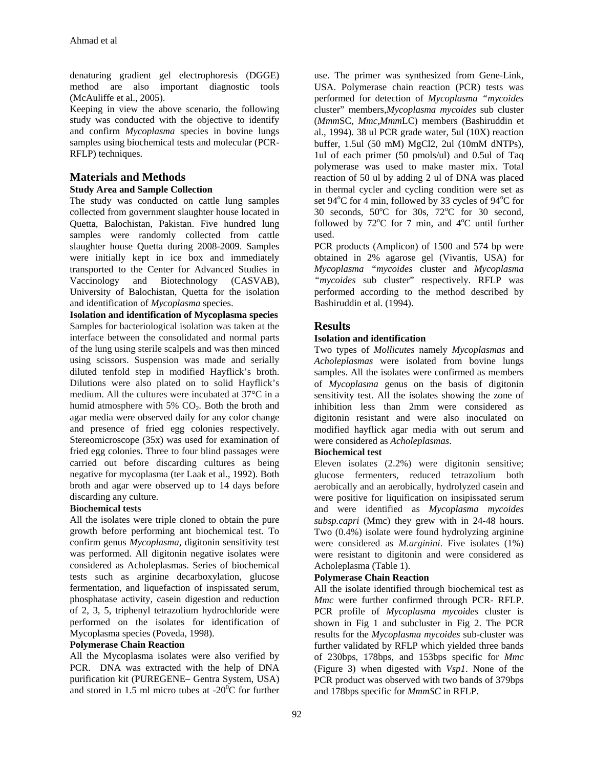denaturing gradient gel electrophoresis (DGGE) method are also important diagnostic tools (McAuliffe et al., 2005).

Keeping in view the above scenario, the following study was conducted with the objective to identify and confirm *Mycoplasma* species in bovine lungs samples using biochemical tests and molecular (PCR-RFLP) techniques.

# **Materials and Methods**

# **Study Area and Sample Collection**

The study was conducted on cattle lung samples collected from government slaughter house located in Quetta, Balochistan, Pakistan. Five hundred lung samples were randomly collected from cattle slaughter house Quetta during 2008-2009. Samples were initially kept in ice box and immediately transported to the Center for Advanced Studies in Vaccinology and Biotechnology (CASVAB), University of Balochistan, Quetta for the isolation and identification of *Mycoplasma* species.

**Isolation and identification of Mycoplasma species**  Samples for bacteriological isolation was taken at the interface between the consolidated and normal parts of the lung using sterile scalpels and was then minced using scissors. Suspension was made and serially diluted tenfold step in modified Hayflick's broth. Dilutions were also plated on to solid Hayflick's medium. All the cultures were incubated at 37°C in a humid atmosphere with 5%  $CO<sub>2</sub>$ . Both the broth and agar media were observed daily for any color change and presence of fried egg colonies respectively. Stereomicroscope (35x) was used for examination of fried egg colonies. Three to four blind passages were carried out before discarding cultures as being negative for mycoplasma (ter Laak et al., 1992). Both broth and agar were observed up to 14 days before discarding any culture.

# **Biochemical tests**

All the isolates were triple cloned to obtain the pure growth before performing ant biochemical test. To confirm genus *Mycoplasma*, digitonin sensitivity test was performed. All digitonin negative isolates were considered as Acholeplasmas. Series of biochemical tests such as arginine decarboxylation, glucose fermentation, and liquefaction of inspissated serum, phosphatase activity, casein digestion and reduction of 2, 3, 5, triphenyl tetrazolium hydrochloride were performed on the isolates for identification of Mycoplasma species (Poveda, 1998).

# **Polymerase Chain Reaction**

All the Mycoplasma isolates were also verified by PCR. DNA was extracted with the help of DNA purification kit (PUREGENE– Gentra System, USA) and stored in 1.5 ml micro tubes at  $-20^{\circ}$ C for further

use. The primer was synthesized from Gene-Link, USA. Polymerase chain reaction (PCR) tests was performed for detection of *Mycoplasma "mycoides*  cluster" members,*Mycoplasma mycoides* sub cluster (*Mmm*SC*, Mmc,Mmm*LC) members (Bashiruddin et al., 1994). 38 ul PCR grade water, 5ul (10X) reaction buffer, 1.5ul (50 mM) MgCl2, 2ul (10mM dNTPs), 1ul of each primer (50 pmols/ul) and 0.5ul of Taq polymerase was used to make master mix. Total reaction of 50 ul by adding 2 ul of DNA was placed in thermal cycler and cycling condition were set as set 94°C for 4 min, followed by 33 cycles of 94°C for 30 seconds,  $50^{\circ}$ C for 30s,  $72^{\circ}$ C for 30 second, followed by  $72^{\circ}$ C for 7 min, and  $4^{\circ}$ C until further used.

PCR products (Amplicon) of 1500 and 574 bp were obtained in 2% agarose gel (Vivantis, USA) for *Mycoplasma "mycoides* cluster and *Mycoplasma "mycoides* sub cluster" respectively. RFLP was performed according to the method described by Bashiruddin et al. (1994).

# **Results**

# **Isolation and identification**

Two types of *Mollicutes* namely *Mycoplasmas* and *Acholeplasmas* were isolated from bovine lungs samples. All the isolates were confirmed as members of *Mycoplasma* genus on the basis of digitonin sensitivity test. All the isolates showing the zone of inhibition less than 2mm were considered as digitonin resistant and were also inoculated on modified hayflick agar media with out serum and were considered as *Acholeplasmas*.

# **Biochemical test**

Eleven isolates (2.2%) were digitonin sensitive; glucose fermenters, reduced tetrazolium both aerobically and an aerobically, hydrolyzed casein and were positive for liquification on insipissated serum and were identified as *Mycoplasma mycoides subsp.capri* (Mmc) they grew with in 24-48 hours. Two (0.4%) isolate were found hydrolyzing arginine were considered as *M.arginini*. Five isolates (1%) were resistant to digitonin and were considered as Acholeplasma (Table 1).

# **Polymerase Chain Reaction**

All the isolate identified through biochemical test as *Mmc* were further confirmed through PCR- RFLP. PCR profile of *Mycoplasma mycoides* cluster is shown in Fig 1 and subcluster in Fig 2. The PCR results for the *Mycoplasma mycoides* sub-cluster was further validated by RFLP which yielded three bands of 230bps, 178bps, and 153bps specific for *Mmc* (Figure 3) when digested with *Vsp1*. None of the PCR product was observed with two bands of 379bps and 178bps specific for *MmmSC* in RFLP.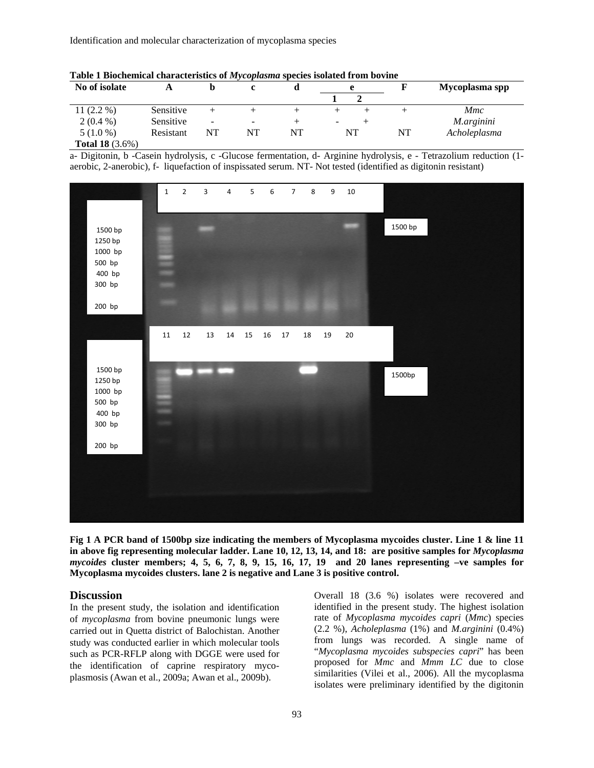| No of isolate          |           |                          |                          |    | e                        |    | Mycoplasma spp |
|------------------------|-----------|--------------------------|--------------------------|----|--------------------------|----|----------------|
|                        |           |                          |                          |    |                          |    |                |
| 11 $(2.2\%)$           | Sensitive |                          |                          |    |                          |    | <i>Mmc</i>     |
| $2(0.4\%)$             | Sensitive | $\overline{\phantom{a}}$ | $\overline{\phantom{0}}$ |    | $\overline{\phantom{0}}$ |    | M.arginini     |
| $5(1.0\%)$             | Resistant | NT                       | NT                       | NT | NT                       | NT | Acholeplasma   |
| <b>Total 18</b> (3.6%) |           |                          |                          |    |                          |    |                |

**Table 1 Biochemical characteristics of** *Mycoplasma* **species isolated from bovine** 

a- Digitonin, b -Casein hydrolysis, c -Glucose fermentation, d- Arginine hydrolysis, e - Tetrazolium reduction (1 aerobic, 2-anerobic), f- liquefaction of inspissated serum. NT- Not tested (identified as digitonin resistant)



**Fig 1 A PCR band of 1500bp size indicating the members of Mycoplasma mycoides cluster. Line 1 & line 11 in above fig representing molecular ladder. Lane 10, 12, 13, 14, and 18: are positive samples for** *Mycoplasma mycoides* **cluster members; 4, 5, 6, 7, 8, 9, 15, 16, 17, 19 and 20 lanes representing –ve samples for Mycoplasma mycoides clusters. lane 2 is negative and Lane 3 is positive control.**

### **Discussion**

In the present study, the isolation and identification of *mycoplasma* from bovine pneumonic lungs were carried out in Quetta district of Balochistan. Another study was conducted earlier in which molecular tools such as PCR-RFLP along with DGGE were used for the identification of caprine respiratory mycoplasmosis (Awan et al., 2009a; Awan et al., 2009b).

Overall 18 (3.6 %) isolates were recovered and identified in the present study. The highest isolation rate of *Mycoplasma mycoides capri* (*Mmc*) species (2.2 %), *Acholeplasma* (1%) and *M.arginini* (0.4%) from lungs was recorded. A single name of "*Mycoplasma mycoides subspecies capri*" has been proposed for *Mmc* and *Mmm LC* due to close similarities (Vilei et al., 2006). All the mycoplasma isolates were preliminary identified by the digitonin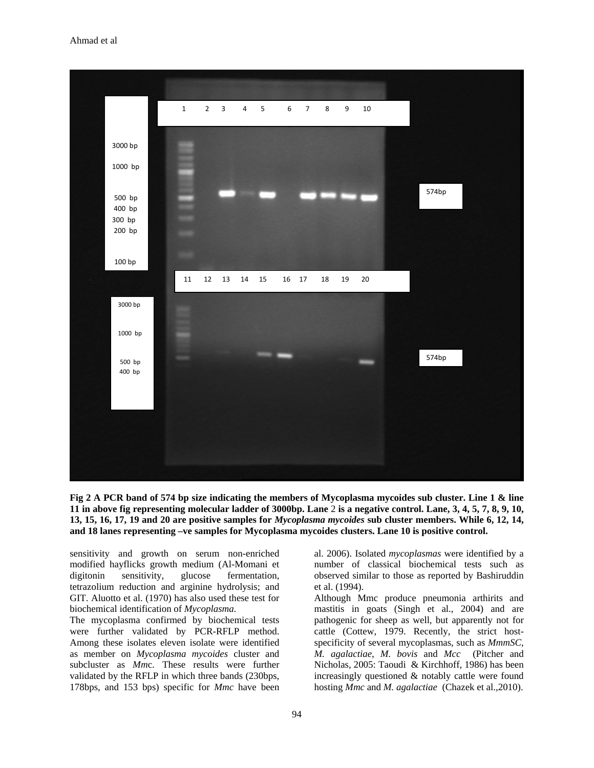

**Fig 2 A PCR band of 574 bp size indicating the members of Mycoplasma mycoides sub cluster. Line 1 & line 11 in above fig representing molecular ladder of 3000bp. Lane** 2 **is a negative control. Lane, 3, 4, 5, 7, 8, 9, 10, 13, 15, 16, 17, 19 and 20 are positive samples for** *Mycoplasma mycoides* **sub cluster members. While 6, 12, 14, and 18 lanes representing –ve samples for Mycoplasma mycoides clusters. Lane 10 is positive control.**

sensitivity and growth on serum non-enriched modified hayflicks growth medium (Al-Momani et digitonin sensitivity, glucose fermentation, tetrazolium reduction and arginine hydrolysis; and GIT. Aluotto et al. (1970) has also used these test for biochemical identification of *Mycoplasma*.

The mycoplasma confirmed by biochemical tests were further validated by PCR-RFLP method. Among these isolates eleven isolate were identified as member on *Mycoplasma mycoides* cluster and subcluster as *Mm*c. These results were further validated by the RFLP in which three bands (230bps, 178bps, and 153 bps) specific for *Mmc* have been

al. 2006). Isolated *mycoplasmas* were identified by a number of classical biochemical tests such as observed similar to those as reported by Bashiruddin et al. (1994).

Although Mmc produce pneumonia arthirits and mastitis in goats (Singh et al., 2004) and are pathogenic for sheep as well, but apparently not for cattle (Cottew, 1979. Recently, the strict hostspecificity of several mycoplasmas, such as *MmmSC*, *M. agalactiae*, *M. bovis* and *Mcc* (Pitcher and Nicholas, 2005: Taoudi & Kirchhoff, 1986) has been increasingly questioned & notably cattle were found hosting *Mmc* and *M. agalactiae* (Chazek et al.,2010).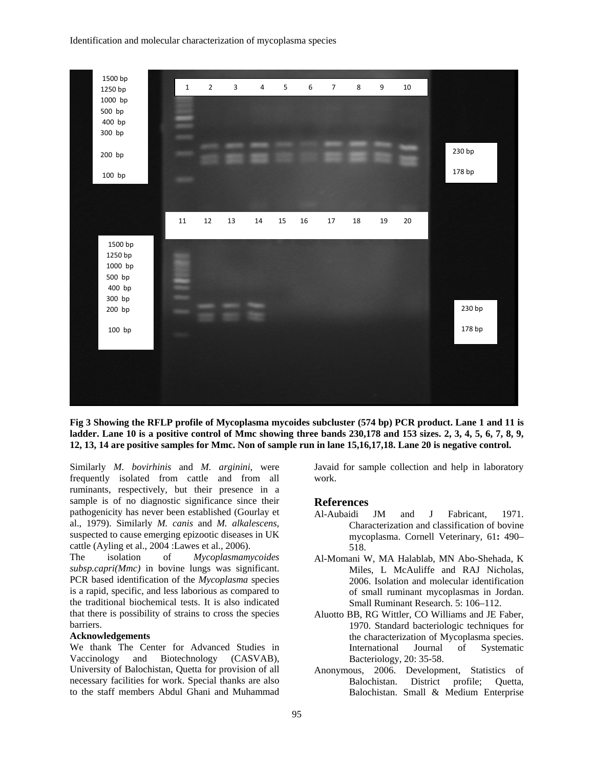

**Fig 3 Showing the RFLP profile of Mycoplasma mycoides subcluster (574 bp) PCR product. Lane 1 and 11 is ladder. Lane 10 is a positive control of Mmc showing three bands 230,178 and 153 sizes. 2, 3, 4, 5, 6, 7, 8, 9, 12, 13, 14 are positive samples for Mmc. Non of sample run in lane 15,16,17,18. Lane 20 is negative control.**

Similarly *M. bovirhinis* and *M. arginini*, were frequently isolated from cattle and from all ruminants, respectively, but their presence in a sample is of no diagnostic significance since their pathogenicity has never been established (Gourlay et al., 1979). Similarly *M. canis* and *M. alkalescens*, suspected to cause emerging epizootic diseases in UK cattle (Ayling et al., 2004 :Lawes et al., 2006).

The isolation of *Mycoplasmamycoides subsp.capri(Mmc)* in bovine lungs was significant. PCR based identification of the *Mycoplasma* species is a rapid, specific, and less laborious as compared to the traditional biochemical tests. It is also indicated that there is possibility of strains to cross the species barriers.

#### **Acknowledgements**

We thank The Center for Advanced Studies in Vaccinology and Biotechnology (CASVAB), University of Balochistan, Quetta for provision of all necessary facilities for work. Special thanks are also to the staff members Abdul Ghani and Muhammad

Javaid for sample collection and help in laboratory work.

# **References**

- Al-Aubaidi JM and J Fabricant, 1971. Characterization and classification of bovine mycoplasma. Cornell Veterinary*,* 61**:** 490– 518.
- Al-Momani W, MA Halablab, MN Abo-Shehada, K Miles, L McAuliffe and RAJ Nicholas, 2006. Isolation and molecular identification of small ruminant mycoplasmas in Jordan. Small Ruminant Research. 5: 106–112.
- Aluotto BB, RG Wittler, CO Williams and JE Faber, 1970. Standard bacteriologic techniques for the characterization of Mycoplasma species. International Journal of Systematic Bacteriology, 20: 35-58.
- Anonymous, 2006. Development, Statistics of Balochistan. District profile; Quetta, Balochistan. Small & Medium Enterprise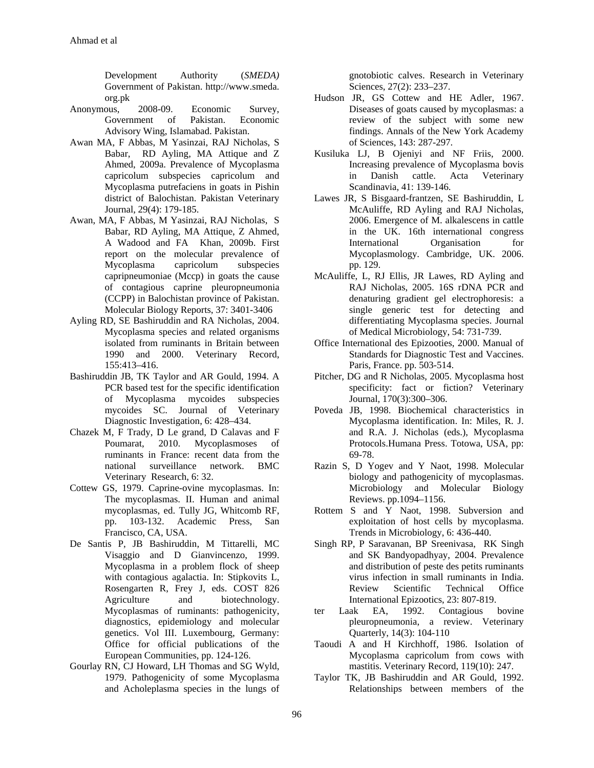Development Authority (*SMEDA)* Government of Pakistan. http://www.smeda. org.pk

- Anonymous, 2008-09. Economic Survey, Government of Pakistan. Economic Advisory Wing, Islamabad. Pakistan.
- Awan MA, F Abbas, M Yasinzai, RAJ Nicholas, S Babar, RD Ayling, MA Attique and Z Ahmed, 2009a. Prevalence of Mycoplasma capricolum subspecies capricolum and Mycoplasma putrefaciens in goats in Pishin district of Balochistan. Pakistan Veterinary Journal, 29(4): 179-185.
- Awan, MA, F Abbas, M Yasinzai, RAJ Nicholas, S Babar, RD Ayling, MA Attique, Z Ahmed, A Wadood and FA Khan, 2009b. First report on the molecular prevalence of Mycoplasma capricolum subspecies capripneumoniae (Mccp) in goats the cause of contagious caprine pleuropneumonia (CCPP) in Balochistan province of Pakistan. Molecular Biology Reports, 37: 3401-3406
- Ayling RD, SE Bashiruddin and RA Nicholas, 2004. Mycoplasma species and related organisms isolated from ruminants in Britain between 1990 and 2000. Veterinary Record, 155:413–416.
- Bashiruddin JB, TK Taylor and AR Gould, 1994. A PCR based test for the specific identification of Mycoplasma mycoides subspecies mycoides SC. Journal of Veterinary Diagnostic Investigation, 6: 428–434.
- Chazek M, F Trady, D Le grand, D Calavas and F Poumarat, 2010. Mycoplasmoses of ruminants in France: recent data from the national surveillance network. BMC Veterinary Research, 6: 32.
- Cottew GS, 1979. Caprine-ovine mycoplasmas. In: The mycoplasmas. II. Human and animal mycoplasmas, ed. Tully JG, Whitcomb RF, pp. 103-132. Academic Press, San Francisco, CA, USA.
- De Santis P, JB Bashiruddin, M Tittarelli, MC Visaggio and D Gianvincenzo, 1999. Mycoplasma in a problem flock of sheep with contagious agalactia. In: Stipkovits L, Rosengarten R, Frey J, eds. COST 826 Agriculture and biotechnology. Mycoplasmas of ruminants: pathogenicity, diagnostics, epidemiology and molecular genetics. Vol III. Luxembourg, Germany: Office for official publications of the European Communities, pp. 124-126.
- Gourlay RN, CJ Howard, LH Thomas and SG Wyld, 1979. Pathogenicity of some Mycoplasma and Acholeplasma species in the lungs of

gnotobiotic calves. Research in Veterinary Sciences, 27(2): 233–237.

- Hudson JR, GS Cottew and HE Adler, 1967. Diseases of goats caused by mycoplasmas: a review of the subject with some new findings. Annals of the New York Academy of Sciences, 143: 287-297.
- Kusiluka LJ, B Ojeniyi and NF Friis, 2000. Increasing prevalence of Mycoplasma bovis in Danish cattle. Acta Veterinary Scandinavia, 41: 139-146.
- Lawes JR, S Bisgaard-frantzen, SE Bashiruddin, L McAuliffe, RD Ayling and RAJ Nicholas, 2006. Emergence of M. alkalescens in cattle in the UK. 16th international congress International Organisation for Mycoplasmology. Cambridge, UK. 2006. pp. 129.
- McAuliffe, L, RJ Ellis, JR Lawes, RD Ayling and RAJ Nicholas, 2005. 16S rDNA PCR and denaturing gradient gel electrophoresis: a single generic test for detecting and differentiating Mycoplasma species. Journal of Medical Microbiology, 54: 731-739.
- Office International des Epizooties, 2000. Manual of Standards for Diagnostic Test and Vaccines. Paris, France. pp. 503-514.
- Pitcher, DG and R Nicholas, 2005. Mycoplasma host specificity: fact or fiction? Veterinary Journal, 170(3):300–306.
- Poveda JB, 1998. Biochemical characteristics in Mycoplasma identification. In: Miles, R. J. and R.A. J. Nicholas (eds.), Mycoplasma Protocols.Humana Press. Totowa, USA, pp: 69-78.
- Razin S, D Yogev and Y Naot, 1998. Molecular biology and pathogenicity of mycoplasmas. Microbiology and Molecular Biology Reviews. pp.1094–1156.
- Rottem S and Y Naot, 1998. Subversion and exploitation of host cells by mycoplasma. Trends in Microbiology, 6: 436-440.
- Singh RP, P Saravanan, BP Sreenivasa, RK Singh and SK Bandyopadhyay, 2004. Prevalence and distribution of peste des petits ruminants virus infection in small ruminants in India. Review Scientific Technical Office International Epizootics, 23: 807-819.
- ter Laak EA, 1992. Contagious bovine pleuropneumonia, a review. Veterinary Quarterly, 14(3): 104-110
- Taoudi A and H Kirchhoff, 1986. Isolation of Mycoplasma capricolum from cows with mastitis. Veterinary Record, 119(10): 247.
- Taylor TK, JB Bashiruddin and AR Gould, 1992. Relationships between members of the